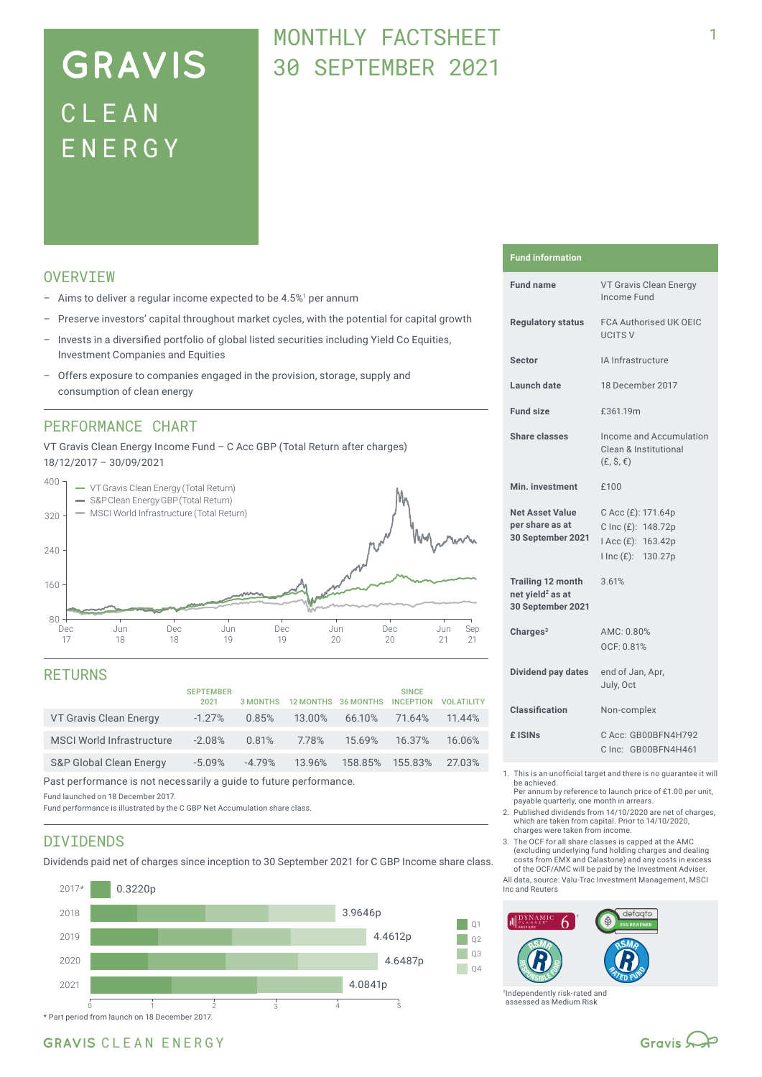# **GRAVIS** CLEA N ENERG Y

## MONTHLY FACTSHEET 30 SEPTEMBER 2021

## **OVERVTEW**

- $-$  Aims to deliver a regular income expected to be 4.5%<sup>1</sup> per annum
- Preserve investors' capital throughout market cycles, with the potential for capital growth
- Invests in a diversified portfolio of global listed securities including Yield Co Equities, Investment Companies and Equities
- Offers exposure to companies engaged in the provision, storage, supply and consumption of clean energy

### PERFORMANCE CHART

VT Gravis Clean Energy Income Fund – C Acc GBP (Total Return after charges) 18/12/2017 – 30/09/2021



### RETURNS

|                                    | <b>SEPTEMBER</b><br>2021 | <b>3 MONTHS</b> | 12 MONTHS 36 MONTHS |                 | <b>SINCE</b><br><b>INCEPTION</b> | <b>VOLATILITY</b> |
|------------------------------------|--------------------------|-----------------|---------------------|-----------------|----------------------------------|-------------------|
| VT Gravis Clean Energy             | $-1.27\%$                | 0.85%           | 13.00%              | 66.10%          | 71.64%                           | 11.44%            |
| <b>MSCI World Infrastructure</b>   | $-2.08%$                 | 0.81%           | 7.78%               | 15.69%          | 16.37%                           | 16.06%            |
| <b>S&amp;P Global Clean Energy</b> | $-5.09\%$                | $-4.79%$        | 13.96%              | 158.85% 155.83% |                                  | 27.03%            |
|                                    |                          |                 |                     |                 |                                  |                   |

Past performance is not necessarily a guide to future performance.

Fund launched on 18 December 2017.

Fund performance is illustrated by the C GBP Net Accumulation share class.

### DIVIDENDS

Dividends paid net of charges since inception to 30 September 2021 for C GBP Income share class.



#### **Fund information**

| <b>Fund name</b>                                                              | VT Gravis Clean Energy<br>Income Fund                                                |
|-------------------------------------------------------------------------------|--------------------------------------------------------------------------------------|
| <b>Regulatory status</b>                                                      | <b>FCA Authorised UK OEIC</b><br><b>UCITS V</b>                                      |
| <b>Sector</b>                                                                 | IA Infrastructure                                                                    |
| <b>Launch date</b>                                                            | 18 December 2017                                                                     |
| <b>Fund size</b>                                                              | £361.19m                                                                             |
| <b>Share classes</b>                                                          | Income and Accumulation<br>Clean & Institutional<br>$(E, \hat{S}, \epsilon)$         |
| Min. investment                                                               | £100                                                                                 |
| <b>Net Asset Value</b><br>per share as at<br>30 September 2021                | C Acc (£): 171.64p<br>C Inc (£): 148.72p<br>I Acc (£): 163.42p<br>I Inc (£): 130.27p |
| <b>Trailing 12 month</b><br>net yield <sup>2</sup> as at<br>30 September 2021 | 3.61%                                                                                |
| Charges $3$                                                                   | AMC: 0.80%<br>OCF: 0.81%                                                             |
| Dividend pay dates                                                            | end of Jan, Apr,<br>July, Oct                                                        |
| <b>Classification</b>                                                         | Non-complex                                                                          |
| £ ISIN <sub>S</sub>                                                           | C Acc: GB00BFN4H792<br>C Inc: GB00BFN4H461                                           |
| $E = 1 + 1 + 1$                                                               | a constate control of<br>and a manager of the costs                                  |

- 1. This is an unofficial target and there is no guarantee it will be achieved.
	- Per annum by reference to launch price of £1.00 per unit, payable quarterly, one month in arrears.
- 2. Published dividends from 14/10/2020 are net of charges, which are taken from capital. Prior to 14/10/2020, charges were taken from income.
- 3. The OCF for all share classes is capped at the AMC (excluding underlying fund holding charges and dealing costs from EMX and Calastone) and any costs in excess of the OCF/AMC will be paid by the Investment Adviser.

All data, source: Valu-Trac Investment Management, MSCI Inc and Reuters



†Independently risk-rated and assessed as Medium Risk

## GRAVIS CLEAN ENERGY

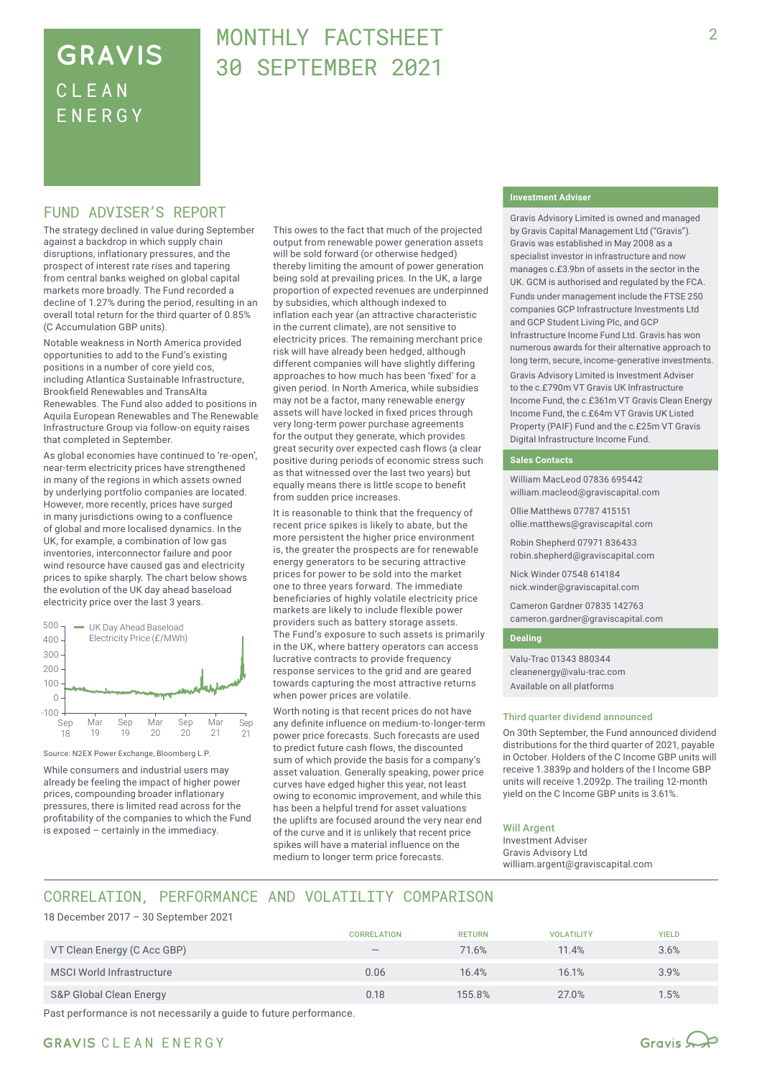## **GRAVIS** CLEA N ENERG Y

## MONTHLY FACTSHEET 30 SEPTEMBER 2021

### FUND ADVISER'S REPORT

The strategy declined in value during September against a backdrop in which supply chain disruptions, inflationary pressures, and the prospect of interest rate rises and tapering from central banks weighed on global capital markets more broadly. The Fund recorded a decline of 1.27% during the period, resulting in an overall total return for the third quarter of 0.85% (C Accumulation GBP units).

Notable weakness in North America provided opportunities to add to the Fund's existing positions in a number of core yield cos, including Atlantica Sustainable Infrastructure, Brookfield Renewables and TransAlta Renewables. The Fund also added to positions in Aquila European Renewables and The Renewable Infrastructure Group via follow-on equity raises that completed in September.

As global economies have continued to 're-open', near-term electricity prices have strengthened in many of the regions in which assets owned by underlying portfolio companies are located. However, more recently, prices have surged in many jurisdictions owing to a confluence of global and more localised dynamics. In the UK, for example, a combination of low gas inventories, interconnector failure and poor wind resource have caused gas and electricity prices to spike sharply. The chart below shows the evolution of the UK day ahead baseload electricity price over the last 3 years.



Source: N2EX Power Exchange, Bloomberg L.P.

While consumers and industrial users may already be feeling the impact of higher power prices, compounding broader inflationary pressures, there is limited read across for the profitability of the companies to which the Fund is exposed – certainly in the immediacy.

This owes to the fact that much of the projected output from renewable power generation assets will be sold forward (or otherwise hedged) thereby limiting the amount of power generation being sold at prevailing prices. In the UK, a large proportion of expected revenues are underpinned by subsidies, which although indexed to inflation each year (an attractive characteristic in the current climate), are not sensitive to electricity prices. The remaining merchant price risk will have already been hedged, although different companies will have slightly differing approaches to how much has been 'fixed' for a given period. In North America, while subsidies may not be a factor, many renewable energy assets will have locked in fixed prices through very long-term power purchase agreements for the output they generate, which provides great security over expected cash flows (a clear positive during periods of economic stress such as that witnessed over the last two years) but equally means there is little scope to benefit from sudden price increases.

It is reasonable to think that the frequency of recent price spikes is likely to abate, but the more persistent the higher price environment is, the greater the prospects are for renewable energy generators to be securing attractive prices for power to be sold into the market one to three years forward. The immediate beneficiaries of highly volatile electricity price markets are likely to include flexible power providers such as battery storage assets. The Fund's exposure to such assets is primarily in the UK, where battery operators can access lucrative contracts to provide frequency response services to the grid and are geared towards capturing the most attractive returns when power prices are volatile.

Worth noting is that recent prices do not have any definite influence on medium-to-longer-term power price forecasts. Such forecasts are used to predict future cash flows, the discounted sum of which provide the basis for a company's asset valuation. Generally speaking, power price curves have edged higher this year, not least owing to economic improvement, and while this has been a helpful trend for asset valuations the uplifts are focused around the very near end of the curve and it is unlikely that recent price spikes will have a material influence on the medium to longer term price forecasts.

#### **Investment Adviser**

Gravis Advisory Limited is owned and managed by Gravis Capital Management Ltd ("Gravis"). Gravis was established in May 2008 as a specialist investor in infrastructure and now manages c.£3.9bn of assets in the sector in the UK. GCM is authorised and regulated by the FCA.

Funds under management include the FTSE 250 companies GCP Infrastructure Investments Ltd and GCP Student Living Plc, and GCP Infrastructure Income Fund Ltd. Gravis has won numerous awards for their alternative approach to long term, secure, income-generative investments.

Gravis Advisory Limited is Investment Adviser to the c.£790m VT Gravis UK Infrastructure Income Fund, the c.£361m VT Gravis Clean Energy Income Fund, the c.£64m VT Gravis UK Listed Property (PAIF) Fund and the c.£25m VT Gravis Digital Infrastructure Income Fund.

#### **Sales Contacts**

William MacLeod 07836 695442 william.macleod@graviscapital.com

Ollie Matthews 07787 415151 ollie.matthews@graviscapital.com

Robin Shepherd 07971 836433 robin.shepherd@graviscapital.com

Nick Winder 07548 614184 nick.winder@graviscapital.com

Cameron Gardner 07835 142763 cameron.gardner@graviscapital.com

#### **Dealing**

Valu-Trac 01343 880344 cleanenergy@valu-trac.com Available on all platforms

#### Third quarter dividend announced

On 30th September, the Fund announced dividend distributions for the third quarter of 2021, payable in October. Holders of the C Income GBP units will receive 1.3839p and holders of the I Income GBP units will receive 1.2092p. The trailing 12-month yield on the C Income GBP units is 3.61%.

#### Will Argent

Investment Adviser Gravis Advisory Ltd william.argent@graviscapital.com

## CORRELATION, PERFORMANCE AND VOLATILITY COMPARISON

18 December 2017 – 30 September 2021

|                             | <b>CORRELATION</b>              | <b>RETURN</b> | <b>VOLATILITY</b> | <b>YIELD</b> |
|-----------------------------|---------------------------------|---------------|-------------------|--------------|
| VT Clean Energy (C Acc GBP) | $\hspace{0.1mm}-\hspace{0.1mm}$ | 71.6%         | 11.4%             | 3.6%         |
| MSCI World Infrastructure   | 0.06                            | 16.4%         | 16.1%             | 3.9%         |
| S&P Global Clean Energy     | 0.18                            | 155.8%        | 27.0%             | $1.5\%$      |

Past performance is not necessarily a guide to future performance.